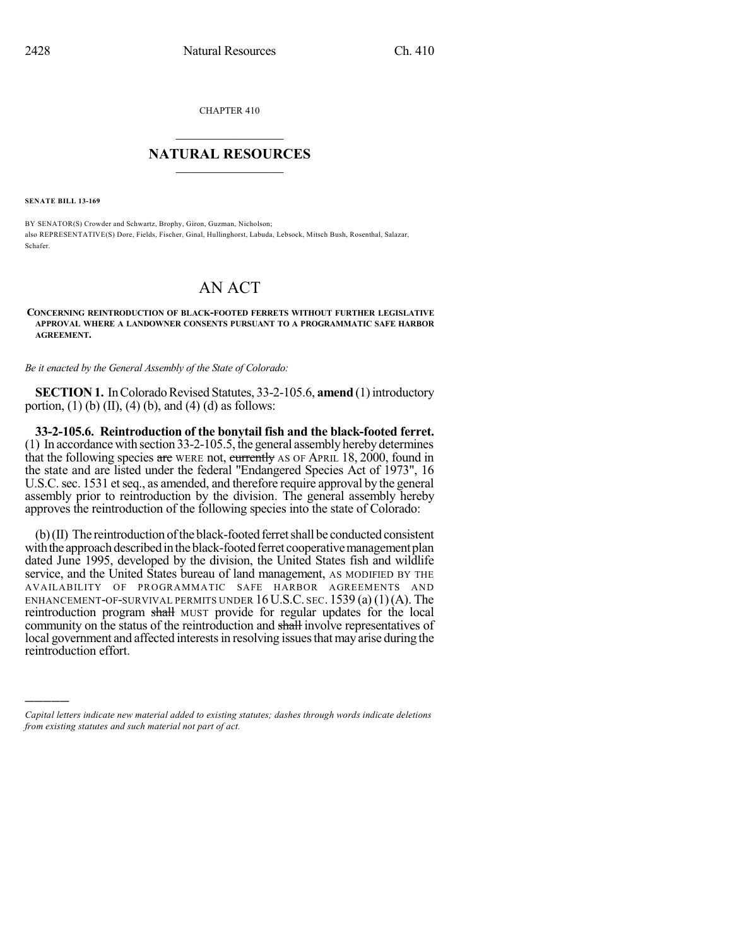CHAPTER 410

## $\mathcal{L}_\text{max}$  . The set of the set of the set of the set of the set of the set of the set of the set of the set of the set of the set of the set of the set of the set of the set of the set of the set of the set of the set **NATURAL RESOURCES**  $\frac{1}{\sqrt{2}}$  ,  $\frac{1}{\sqrt{2}}$  ,  $\frac{1}{\sqrt{2}}$  ,  $\frac{1}{\sqrt{2}}$  ,  $\frac{1}{\sqrt{2}}$  ,  $\frac{1}{\sqrt{2}}$

**SENATE BILL 13-169**

)))))

BY SENATOR(S) Crowder and Schwartz, Brophy, Giron, Guzman, Nicholson; also REPRESENTATIVE(S) Dore, Fields, Fischer, Ginal, Hullinghorst, Labuda, Lebsock, Mitsch Bush, Rosenthal, Salazar, Schafer.

## AN ACT

**CONCERNING REINTRODUCTION OF BLACK-FOOTED FERRETS WITHOUT FURTHER LEGISLATIVE APPROVAL WHERE A LANDOWNER CONSENTS PURSUANT TO A PROGRAMMATIC SAFE HARBOR AGREEMENT.**

*Be it enacted by the General Assembly of the State of Colorado:*

**SECTION 1.** In Colorado Revised Statutes, 33-2-105.6, **amend** (1) introductory portion, (1) (b) (II), (4) (b), and (4) (d) as follows:

**33-2-105.6. Reintroduction of the bonytail fish and the black-footed ferret.** (1) In accordancewith section 33-2-105.5, the general assembly herebydetermines that the following species are WERE not, currently AS OF APRIL 18, 2000, found in the state and are listed under the federal "Endangered Species Act of 1973", 16 U.S.C. sec. 1531 et seq., as amended, and therefore require approval by the general assembly prior to reintroduction by the division. The general assembly hereby approves the reintroduction of the following species into the state of Colorado:

 $(b)$  (II) The reintroduction of the black-footed ferret shall be conducted consistent with the approach described in the black-footed ferret cooperative management plan dated June 1995, developed by the division, the United States fish and wildlife service, and the United States bureau of land management, AS MODIFIED BY THE AVAILABILITY OF PROGRAMMATIC SAFE HARBOR AGREEMENTS AND ENHANCEMENT-OF-SURVIVAL PERMITS UNDER  $16$  U.S.C. sec. 1539 (a) (1)(A). The reintroduction program shall MUST provide for regular updates for the local community on the status of the reintroduction and shall involve representatives of local government and affected interests in resolving issues that may arise during the reintroduction effort.

*Capital letters indicate new material added to existing statutes; dashes through words indicate deletions from existing statutes and such material not part of act.*